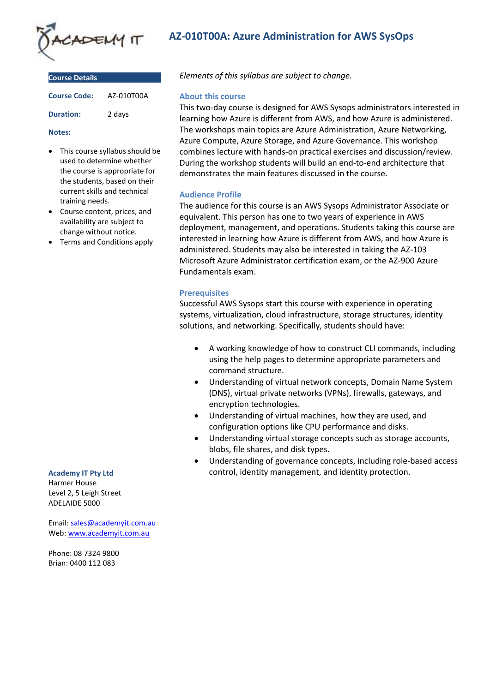

| <b>Course Details</b> |            |
|-----------------------|------------|
| <b>Course Code:</b>   | AZ-010T00A |
| <b>Duration:</b>      | 2 days     |

#### **Notes:**

- This course syllabus should be used to determine whether the course is appropriate for the students, based on their current skills and technical training needs.
- Course content, prices, and availability are subject to change without notice.
- Terms and Conditions apply

# **Academy IT Pty Ltd**

Harmer House Level 2, 5 Leigh Street ADELAIDE 5000

Email: [sales@academyit.com.au](mailto:sales@academyit.com.au) Web: [www.academyit.com.au](http://www.academyit.com.au/)

Phone: 08 7324 9800 Brian: 0400 112 083

# **AZ-010T00A: Azure Administration for AWS SysOps**

*Elements of this syllabus are subject to change.*

### **About this course**

This two-day course is designed for AWS Sysops administrators interested in learning how Azure is different from AWS, and how Azure is administered. The workshops main topics are Azure Administration, Azure Networking, Azure Compute, Azure Storage, and Azure Governance. This workshop combines lecture with hands-on practical exercises and discussion/review. During the workshop students will build an end-to-end architecture that demonstrates the main features discussed in the course.

# **Audience Profile**

The audience for this course is an AWS Sysops Administrator Associate or equivalent. This person has one to two years of experience in AWS deployment, management, and operations. Students taking this course are interested in learning how Azure is different from AWS, and how Azure is administered. Students may also be interested in taking the AZ-103 Microsoft Azure Administrator certification exam, or the AZ-900 Azure Fundamentals exam.

### **Prerequisites**

Successful AWS Sysops start this course with experience in operating systems, virtualization, cloud infrastructure, storage structures, identity solutions, and networking. Specifically, students should have:

- A working knowledge of how to construct CLI commands, including using the help pages to determine appropriate parameters and command structure.
- Understanding of virtual network concepts, Domain Name System (DNS), virtual private networks (VPNs), firewalls, gateways, and encryption technologies.
- Understanding of virtual machines, how they are used, and configuration options like CPU performance and disks.
- Understanding virtual storage concepts such as storage accounts, blobs, file shares, and disk types.
- Understanding of governance concepts, including role-based access control, identity management, and identity protection.